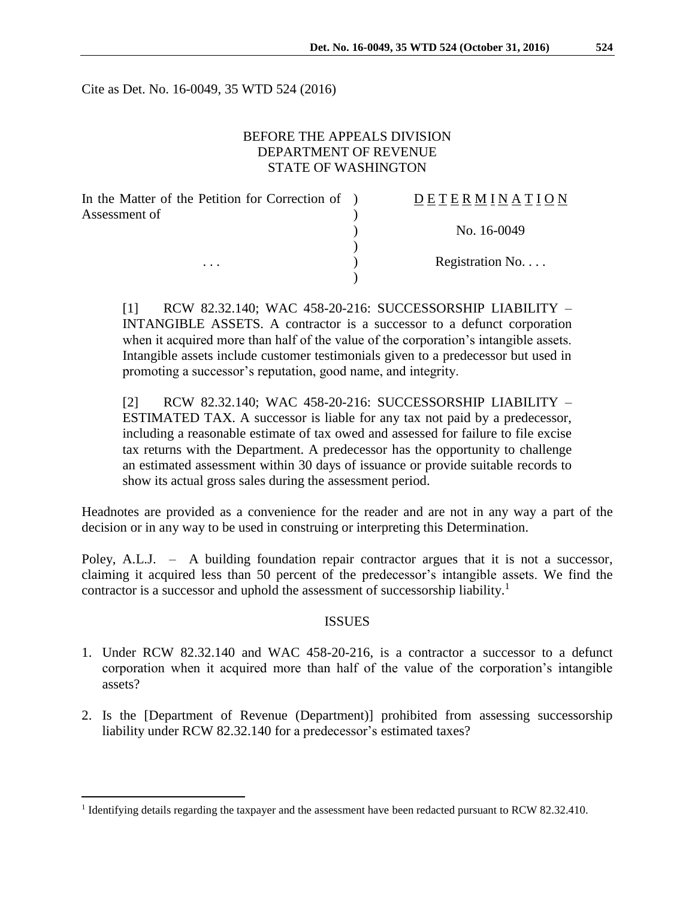Cite as Det. No. 16-0049, 35 WTD 524 (2016)

## BEFORE THE APPEALS DIVISION DEPARTMENT OF REVENUE STATE OF WASHINGTON

| In the Matter of the Petition for Correction of ) | DETERMINATION   |
|---------------------------------------------------|-----------------|
| Assessment of<br>$\cdots$                         |                 |
|                                                   | No. 16-0049     |
|                                                   |                 |
|                                                   | Registration No |
|                                                   |                 |

[1] RCW 82.32.140; WAC 458-20-216: SUCCESSORSHIP LIABILITY – INTANGIBLE ASSETS. A contractor is a successor to a defunct corporation when it acquired more than half of the value of the corporation's intangible assets. Intangible assets include customer testimonials given to a predecessor but used in promoting a successor's reputation, good name, and integrity.

[2] RCW 82.32.140; WAC 458-20-216: SUCCESSORSHIP LIABILITY – ESTIMATED TAX. A successor is liable for any tax not paid by a predecessor, including a reasonable estimate of tax owed and assessed for failure to file excise tax returns with the Department. A predecessor has the opportunity to challenge an estimated assessment within 30 days of issuance or provide suitable records to show its actual gross sales during the assessment period.

Headnotes are provided as a convenience for the reader and are not in any way a part of the decision or in any way to be used in construing or interpreting this Determination.

Poley, A.L.J. – A building foundation repair contractor argues that it is not a successor, claiming it acquired less than 50 percent of the predecessor's intangible assets. We find the contractor is a successor and uphold the assessment of successorship liability.<sup>1</sup>

#### ISSUES

- 1. Under RCW 82.32.140 and WAC 458-20-216, is a contractor a successor to a defunct corporation when it acquired more than half of the value of the corporation's intangible assets?
- 2. Is the [Department of Revenue (Department)] prohibited from assessing successorship liability under RCW 82.32.140 for a predecessor's estimated taxes?

 $\overline{a}$ 

<sup>&</sup>lt;sup>1</sup> Identifying details regarding the taxpayer and the assessment have been redacted pursuant to RCW 82.32.410.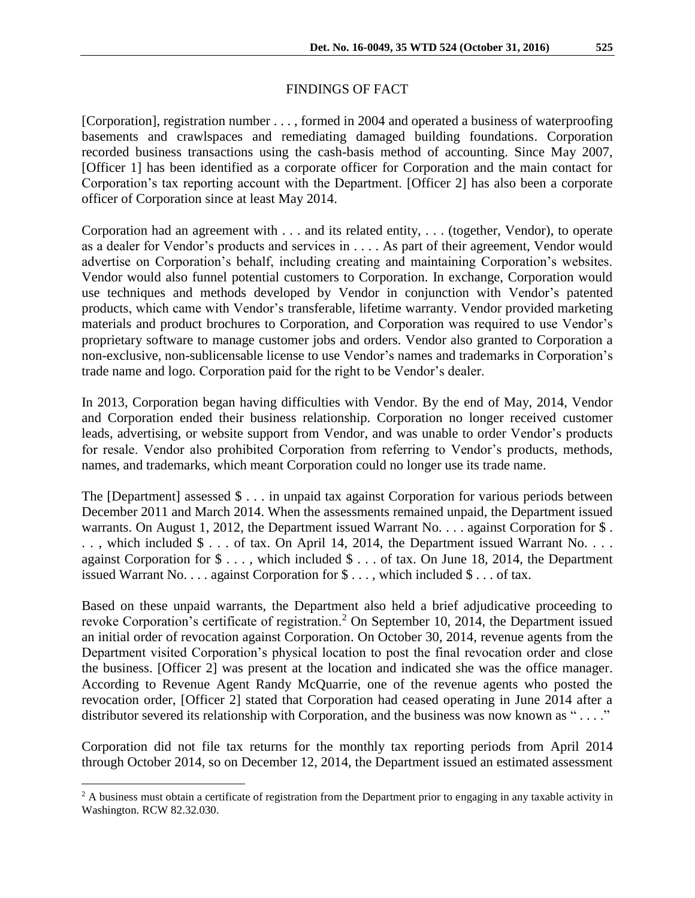### FINDINGS OF FACT

[Corporation], registration number . . . , formed in 2004 and operated a business of waterproofing basements and crawlspaces and remediating damaged building foundations. Corporation recorded business transactions using the cash-basis method of accounting. Since May 2007, [Officer 1] has been identified as a corporate officer for Corporation and the main contact for Corporation's tax reporting account with the Department. [Officer 2] has also been a corporate officer of Corporation since at least May 2014.

Corporation had an agreement with . . . and its related entity, . . . (together, Vendor), to operate as a dealer for Vendor's products and services in . . . . As part of their agreement, Vendor would advertise on Corporation's behalf, including creating and maintaining Corporation's websites. Vendor would also funnel potential customers to Corporation. In exchange, Corporation would use techniques and methods developed by Vendor in conjunction with Vendor's patented products, which came with Vendor's transferable, lifetime warranty. Vendor provided marketing materials and product brochures to Corporation, and Corporation was required to use Vendor's proprietary software to manage customer jobs and orders. Vendor also granted to Corporation a non-exclusive, non-sublicensable license to use Vendor's names and trademarks in Corporation's trade name and logo. Corporation paid for the right to be Vendor's dealer.

In 2013, Corporation began having difficulties with Vendor. By the end of May, 2014, Vendor and Corporation ended their business relationship. Corporation no longer received customer leads, advertising, or website support from Vendor, and was unable to order Vendor's products for resale. Vendor also prohibited Corporation from referring to Vendor's products, methods, names, and trademarks, which meant Corporation could no longer use its trade name.

The [Department] assessed \$ . . . in unpaid tax against Corporation for various periods between December 2011 and March 2014. When the assessments remained unpaid, the Department issued warrants. On August 1, 2012, the Department issued Warrant No. . . . against Corporation for \$. .., which included \$ ... of tax. On April 14, 2014, the Department issued Warrant No.... against Corporation for \$ . . . , which included \$ . . . of tax. On June 18, 2014, the Department issued Warrant No. . . . against Corporation for \$ . . . , which included \$ . . . of tax.

Based on these unpaid warrants, the Department also held a brief adjudicative proceeding to revoke Corporation's certificate of registration.<sup>2</sup> On September 10, 2014, the Department issued an initial order of revocation against Corporation. On October 30, 2014, revenue agents from the Department visited Corporation's physical location to post the final revocation order and close the business. [Officer 2] was present at the location and indicated she was the office manager. According to Revenue Agent Randy McQuarrie, one of the revenue agents who posted the revocation order, [Officer 2] stated that Corporation had ceased operating in June 2014 after a distributor severed its relationship with Corporation, and the business was now known as "...."

Corporation did not file tax returns for the monthly tax reporting periods from April 2014 through October 2014, so on December 12, 2014, the Department issued an estimated assessment

 $\overline{a}$ 

<sup>&</sup>lt;sup>2</sup> A business must obtain a certificate of registration from the Department prior to engaging in any taxable activity in Washington. RCW 82.32.030.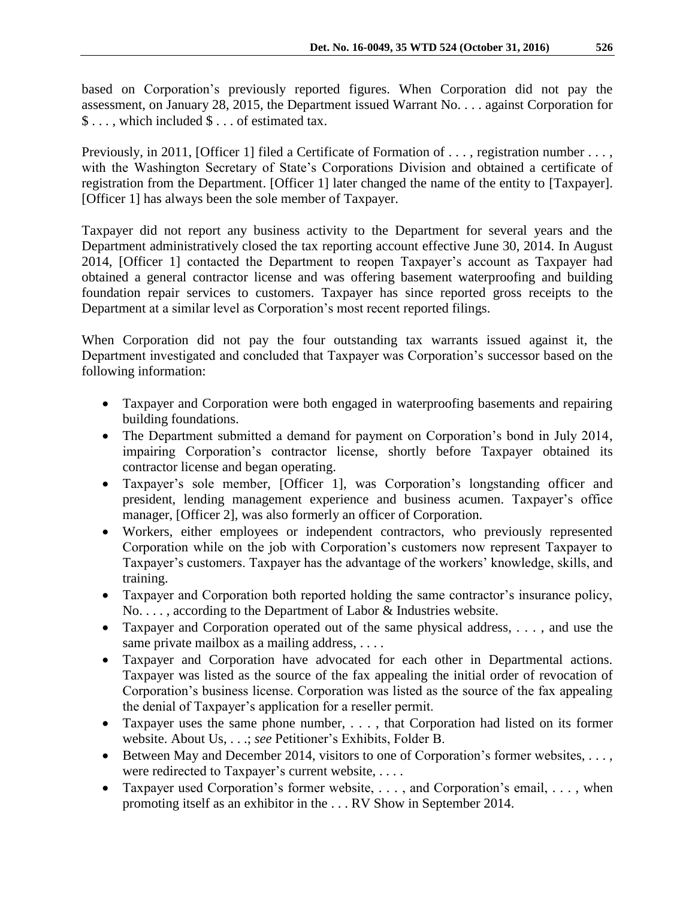based on Corporation's previously reported figures. When Corporation did not pay the assessment, on January 28, 2015, the Department issued Warrant No. . . . against Corporation for \$ . . . , which included \$ . . . of estimated tax.

Previously, in 2011, [Officer 1] filed a Certificate of Formation of . . . , registration number . . . , with the Washington Secretary of State's Corporations Division and obtained a certificate of registration from the Department. [Officer 1] later changed the name of the entity to [Taxpayer]. [Officer 1] has always been the sole member of Taxpayer.

Taxpayer did not report any business activity to the Department for several years and the Department administratively closed the tax reporting account effective June 30, 2014. In August 2014, [Officer 1] contacted the Department to reopen Taxpayer's account as Taxpayer had obtained a general contractor license and was offering basement waterproofing and building foundation repair services to customers. Taxpayer has since reported gross receipts to the Department at a similar level as Corporation's most recent reported filings.

When Corporation did not pay the four outstanding tax warrants issued against it, the Department investigated and concluded that Taxpayer was Corporation's successor based on the following information:

- Taxpayer and Corporation were both engaged in waterproofing basements and repairing building foundations.
- The Department submitted a demand for payment on Corporation's bond in July 2014, impairing Corporation's contractor license, shortly before Taxpayer obtained its contractor license and began operating.
- Taxpayer's sole member, [Officer 1], was Corporation's longstanding officer and president, lending management experience and business acumen. Taxpayer's office manager, [Officer 2], was also formerly an officer of Corporation.
- Workers, either employees or independent contractors, who previously represented Corporation while on the job with Corporation's customers now represent Taxpayer to Taxpayer's customers. Taxpayer has the advantage of the workers' knowledge, skills, and training.
- Taxpayer and Corporation both reported holding the same contractor's insurance policy, No. . . . , according to the Department of Labor & Industries website.
- Taxpayer and Corporation operated out of the same physical address, . . . , and use the same private mailbox as a mailing address, ....
- Taxpayer and Corporation have advocated for each other in Departmental actions. Taxpayer was listed as the source of the fax appealing the initial order of revocation of Corporation's business license. Corporation was listed as the source of the fax appealing the denial of Taxpayer's application for a reseller permit.
- Taxpayer uses the same phone number, . . . , that Corporation had listed on its former website. About Us, . . .; *see* Petitioner's Exhibits, Folder B.
- Between May and December 2014, visitors to one of Corporation's former websites,  $\dots$ , were redirected to Taxpayer's current website, . . . .
- Taxpayer used Corporation's former website, . . . , and Corporation's email, . . . , when promoting itself as an exhibitor in the . . . RV Show in September 2014.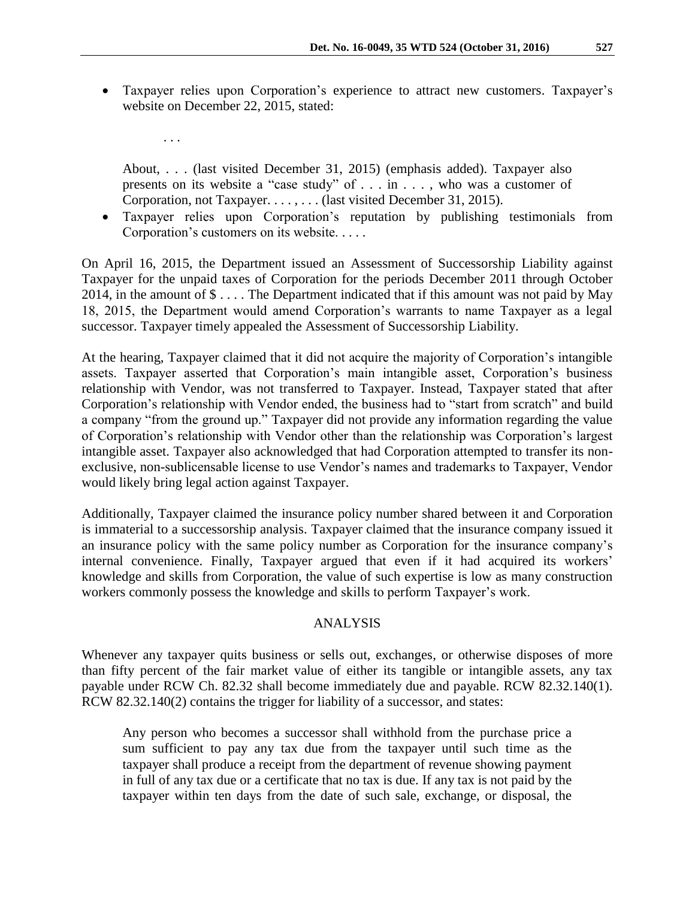Taxpayer relies upon Corporation's experience to attract new customers. Taxpayer's website on December 22, 2015, stated:

About, . . . (last visited December 31, 2015) (emphasis added). Taxpayer also presents on its website a "case study" of . . . in . . . , who was a customer of Corporation, not Taxpayer. . . . , . . . (last visited December 31, 2015).

. . .

 Taxpayer relies upon Corporation's reputation by publishing testimonials from Corporation's customers on its website. . . . .

On April 16, 2015, the Department issued an Assessment of Successorship Liability against Taxpayer for the unpaid taxes of Corporation for the periods December 2011 through October 2014, in the amount of \$ . . . . The Department indicated that if this amount was not paid by May 18, 2015, the Department would amend Corporation's warrants to name Taxpayer as a legal successor. Taxpayer timely appealed the Assessment of Successorship Liability.

At the hearing, Taxpayer claimed that it did not acquire the majority of Corporation's intangible assets. Taxpayer asserted that Corporation's main intangible asset, Corporation's business relationship with Vendor, was not transferred to Taxpayer. Instead, Taxpayer stated that after Corporation's relationship with Vendor ended, the business had to "start from scratch" and build a company "from the ground up." Taxpayer did not provide any information regarding the value of Corporation's relationship with Vendor other than the relationship was Corporation's largest intangible asset. Taxpayer also acknowledged that had Corporation attempted to transfer its nonexclusive, non-sublicensable license to use Vendor's names and trademarks to Taxpayer, Vendor would likely bring legal action against Taxpayer.

Additionally, Taxpayer claimed the insurance policy number shared between it and Corporation is immaterial to a successorship analysis. Taxpayer claimed that the insurance company issued it an insurance policy with the same policy number as Corporation for the insurance company's internal convenience. Finally, Taxpayer argued that even if it had acquired its workers' knowledge and skills from Corporation, the value of such expertise is low as many construction workers commonly possess the knowledge and skills to perform Taxpayer's work.

### ANALYSIS

Whenever any taxpayer quits business or sells out, exchanges, or otherwise disposes of more than fifty percent of the fair market value of either its tangible or intangible assets, any tax payable under RCW Ch. 82.32 shall become immediately due and payable. RCW 82.32.140(1). RCW 82.32.140(2) contains the trigger for liability of a successor, and states:

Any person who becomes a successor shall withhold from the purchase price a sum sufficient to pay any tax due from the taxpayer until such time as the taxpayer shall produce a receipt from the department of revenue showing payment in full of any tax due or a certificate that no tax is due. If any tax is not paid by the taxpayer within ten days from the date of such sale, exchange, or disposal, the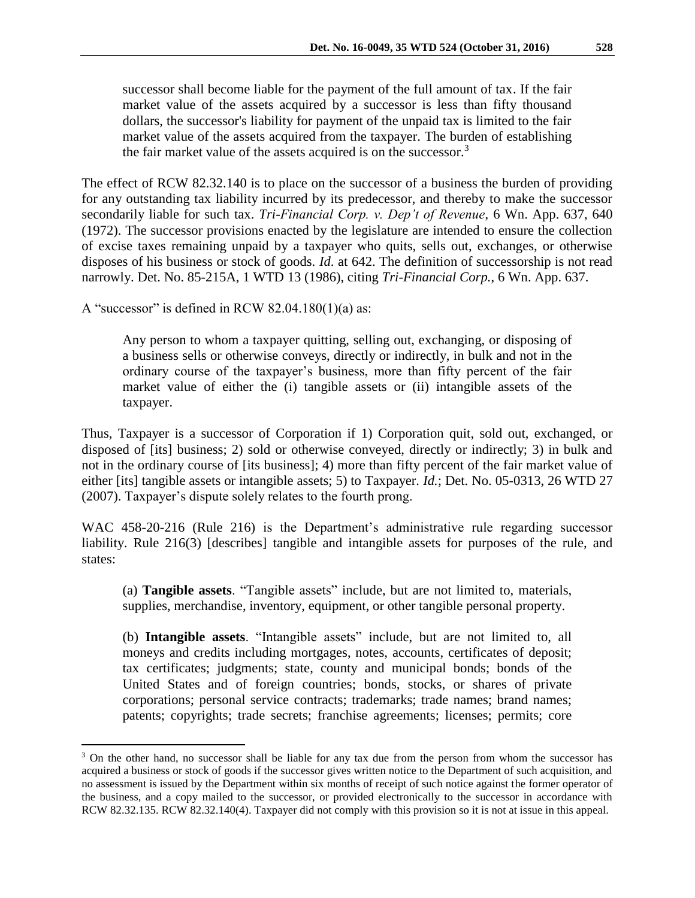successor shall become liable for the payment of the full amount of tax. If the fair market value of the assets acquired by a successor is less than fifty thousand dollars, the successor's liability for payment of the unpaid tax is limited to the fair market value of the assets acquired from the taxpayer. The burden of establishing the fair market value of the assets acquired is on the successor.<sup>3</sup>

The effect of RCW 82.32.140 is to place on the successor of a business the burden of providing for any outstanding tax liability incurred by its predecessor, and thereby to make the successor secondarily liable for such tax. *Tri-Financial Corp. v. Dep't of Revenue*, 6 Wn. App. 637, 640 (1972). The successor provisions enacted by the legislature are intended to ensure the collection of excise taxes remaining unpaid by a taxpayer who quits, sells out, exchanges, or otherwise disposes of his business or stock of goods. *Id*. at 642. The definition of successorship is not read narrowly. Det. No. 85-215A, 1 WTD 13 (1986), citing *Tri-Financial Corp.*, 6 Wn. App. 637.

A "successor" is defined in RCW  $82.04.180(1)(a)$  as:

 $\overline{a}$ 

Any person to whom a taxpayer quitting, selling out, exchanging, or disposing of a business sells or otherwise conveys, directly or indirectly, in bulk and not in the ordinary course of the taxpayer's business, more than fifty percent of the fair market value of either the (i) tangible assets or (ii) intangible assets of the taxpayer.

Thus, Taxpayer is a successor of Corporation if 1) Corporation quit, sold out, exchanged, or disposed of [its] business; 2) sold or otherwise conveyed, directly or indirectly; 3) in bulk and not in the ordinary course of [its business]; 4) more than fifty percent of the fair market value of either [its] tangible assets or intangible assets; 5) to Taxpayer. *Id.*; Det. No. 05-0313, 26 WTD 27 (2007). Taxpayer's dispute solely relates to the fourth prong.

WAC 458-20-216 (Rule 216) is the Department's administrative rule regarding successor liability. Rule 216(3) [describes] tangible and intangible assets for purposes of the rule, and states:

(a) **Tangible assets**. "Tangible assets" include, but are not limited to, materials, supplies, merchandise, inventory, equipment, or other tangible personal property.

(b) **Intangible assets**. "Intangible assets" include, but are not limited to, all moneys and credits including mortgages, notes, accounts, certificates of deposit; tax certificates; judgments; state, county and municipal bonds; bonds of the United States and of foreign countries; bonds, stocks, or shares of private corporations; personal service contracts; trademarks; trade names; brand names; patents; copyrights; trade secrets; franchise agreements; licenses; permits; core

<sup>&</sup>lt;sup>3</sup> On the other hand, no successor shall be liable for any tax due from the person from whom the successor has acquired a business or stock of goods if the successor gives written notice to the Department of such acquisition, and no assessment is issued by the Department within six months of receipt of such notice against the former operator of the business, and a copy mailed to the successor, or provided electronically to the successor in accordance with RCW 82.32.135. RCW 82.32.140(4). Taxpayer did not comply with this provision so it is not at issue in this appeal.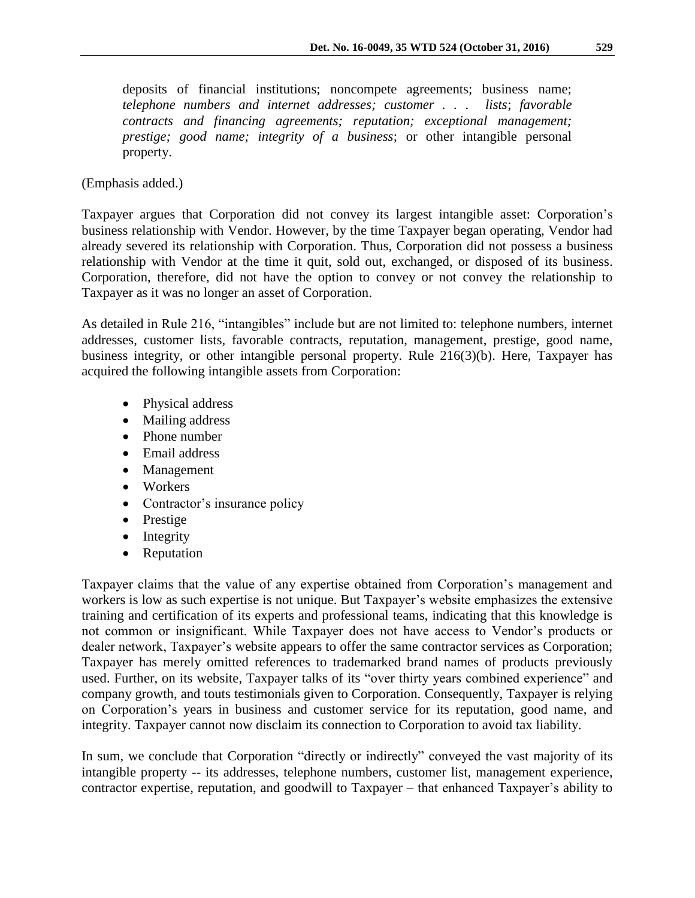deposits of financial institutions; noncompete agreements; business name; *telephone numbers and internet addresses; customer . . . lists*; *favorable contracts and financing agreements; reputation; exceptional management; prestige; good name; integrity of a business*; or other intangible personal property.

# (Emphasis added.)

Taxpayer argues that Corporation did not convey its largest intangible asset: Corporation's business relationship with Vendor. However, by the time Taxpayer began operating, Vendor had already severed its relationship with Corporation. Thus, Corporation did not possess a business relationship with Vendor at the time it quit, sold out, exchanged, or disposed of its business. Corporation, therefore, did not have the option to convey or not convey the relationship to Taxpayer as it was no longer an asset of Corporation.

As detailed in Rule 216, "intangibles" include but are not limited to: telephone numbers, internet addresses, customer lists, favorable contracts, reputation, management, prestige, good name, business integrity, or other intangible personal property. Rule 216(3)(b). Here, Taxpayer has acquired the following intangible assets from Corporation:

- Physical address
- Mailing address
- Phone number
- Email address
- Management
- Workers
- Contractor's insurance policy
- Prestige
- $\bullet$  Integrity
- Reputation

Taxpayer claims that the value of any expertise obtained from Corporation's management and workers is low as such expertise is not unique. But Taxpayer's website emphasizes the extensive training and certification of its experts and professional teams, indicating that this knowledge is not common or insignificant. While Taxpayer does not have access to Vendor's products or dealer network, Taxpayer's website appears to offer the same contractor services as Corporation; Taxpayer has merely omitted references to trademarked brand names of products previously used. Further, on its website, Taxpayer talks of its "over thirty years combined experience" and company growth, and touts testimonials given to Corporation. Consequently, Taxpayer is relying on Corporation's years in business and customer service for its reputation, good name, and integrity. Taxpayer cannot now disclaim its connection to Corporation to avoid tax liability.

In sum, we conclude that Corporation "directly or indirectly" conveyed the vast majority of its intangible property -- its addresses, telephone numbers, customer list, management experience, contractor expertise, reputation, and goodwill to Taxpayer – that enhanced Taxpayer's ability to